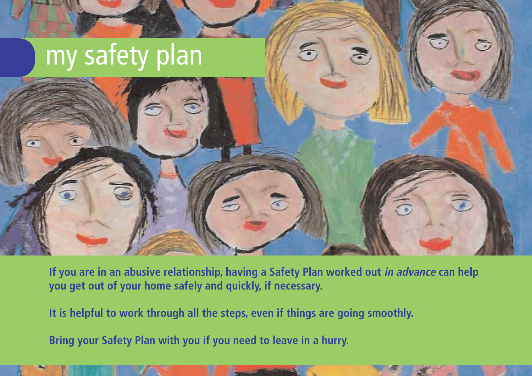

**If you are in an abusive relationship, having a Safety Plan worked out in advance can help you get out of your home safely and quickly, if necessary.**

**It is helpful to work through all the steps, even if things are going smoothly.**

**Bring your Safety Plan with you if you need to leave in a hurry.**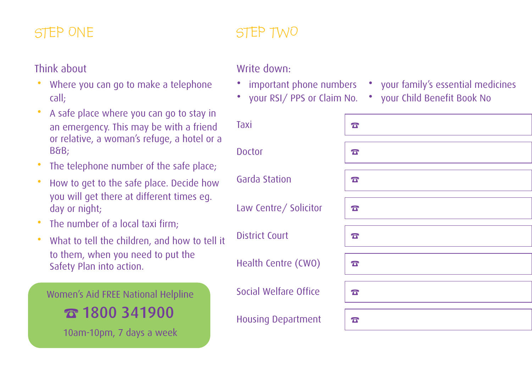## Think about

- Where you can go to make a telephone call;
- A safe place where you can go to stay in an emergency. This may be with a friend or relative, a woman's refuge, a hotel or a B&B;
- The telephone number of the safe place;
- How to get to the safe place. Decide how you will get there at different times eg. day or night;
- The number of a local taxi firm:
- What to tell the children, and how to tell it to them, when you need to put the Safety Plan into action.

Women's Aid FREE National Helpline

☎1800 341900

10am-10pm, 7 days a week

# STEP ONE STEP TWO

### Write down:

- important phone numbers your family's essential medicines
- your RSI/ PPS or Claim No. your Child Benefit Book No
- Taxi and <mark>참</mark> Doctor  $\sqrt{a}$ Garda Station ☎ Law Centre/ Solicitor  $\boxed{\mathbf{x}}$ District Court **☞** Health Centre (CWO)  $\sqrt{2}$ Social Welfare Office  $\frac{1}{2}$ Housing Department  $|\mathbf{\bar{x}}|$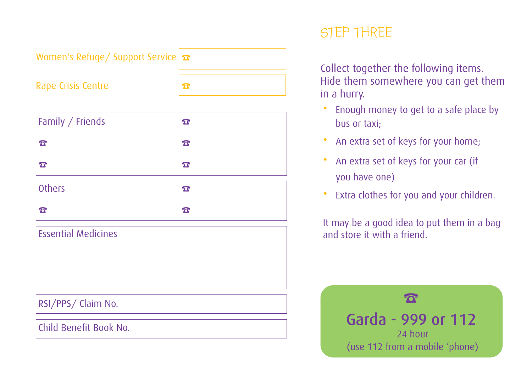| Women's Refuge/ Support Service <b>T</b> |                       |
|------------------------------------------|-----------------------|
| <b>Rape Crisis Centre</b>                | $\boldsymbol{\sigma}$ |
|                                          |                       |
| Family / Friends                         | $\mathbf{T}$          |
| $\boldsymbol{\sigma}$                    | $\mathbf{T}$          |
| $\overline{\mathbf{C}}$                  | $\sigma$              |
| <b>Others</b>                            | $\mathbf{T}$          |
| $\sigma$                                 | $\mathbf{T}$          |
| <b>Essential Medicines</b>               |                       |
|                                          |                       |
|                                          |                       |
| RSI/PPS/ Claim No.                       |                       |

Child Benefit Book No.

## STEP THREE

Collect together the following items. Hide them somewhere you can get them in a hurry.

- Enough money to get to a safe place by bus or taxi;
- An extra set of keys for your home;
- An extra set of keys for your car (if you have one)
- Extra clothes for you and your children.

It may be a good idea to put them in a bag and store it with a friend.